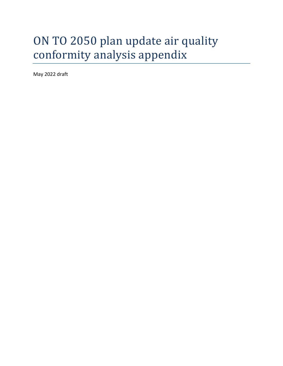# ON TO 2050 plan update air quality conformity analysis appendix

May 2022 draft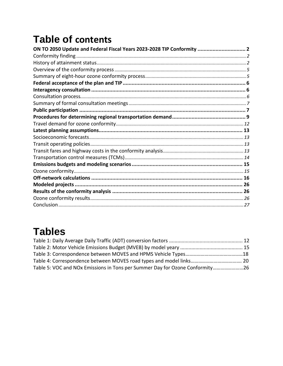# **Table of contents**

| ON TO 2050 Update and Federal Fiscal Years 2023-2028 TIP Conformity  2 |  |
|------------------------------------------------------------------------|--|
|                                                                        |  |
|                                                                        |  |
|                                                                        |  |
|                                                                        |  |
|                                                                        |  |
|                                                                        |  |
|                                                                        |  |
|                                                                        |  |
|                                                                        |  |
|                                                                        |  |
|                                                                        |  |
|                                                                        |  |
|                                                                        |  |
|                                                                        |  |
|                                                                        |  |
|                                                                        |  |
|                                                                        |  |
|                                                                        |  |
|                                                                        |  |
|                                                                        |  |
|                                                                        |  |
|                                                                        |  |
|                                                                        |  |

# **Tables**

| Table 5: VOC and NOx Emissions in Tons per Summer Day for Ozone Conformity26 |  |
|------------------------------------------------------------------------------|--|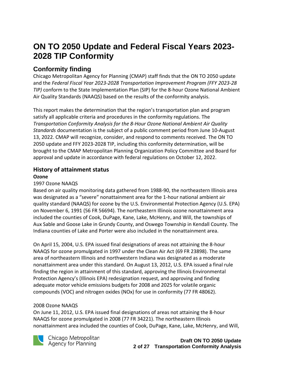## <span id="page-2-0"></span>**ON TO 2050 Update and Federal Fiscal Years 2023- 2028 TIP Conformity**

## <span id="page-2-1"></span>**Conformity finding**

Chicago Metropolitan Agency for Planning (CMAP) staff finds that the ON TO 2050 update and the *Federal Fiscal Year 2023-2028 Transportation Improvement Program (FFY 2023-28 TIP)* conform to the State Implementation Plan (SIP) for the 8-hour Ozone National Ambient Air Quality Standards (NAAQS) based on the results of the conformity analysis.

This report makes the determination that the region's transportation plan and program satisfy all applicable criteria and procedures in the conformity regulations. The *Transportation Conformity Analysis for the 8-Hour Ozone National Ambient Air Quality Standards* documentation is the subject of a public comment period from June 10-August 13, 2022. CMAP will recognize, consider, and respond to comments received. The ON TO 2050 update and FFY 2023-2028 TIP, including this conformity determination, will be brought to the CMAP Metropolitan Planning Organization Policy Committee and Board for approval and update in accordance with federal regulations on October 12, 2022.

### <span id="page-2-2"></span>**History of attainment status**

#### **Ozone**

#### 1997 Ozone NAAQS

Based on air quality monitoring data gathered from 1988-90, the northeastern Illinois area was designated as a "severe" nonattainment area for the 1-hour national ambient air quality standard (NAAQS) for ozone by the U.S. Environmental Protection Agency (U.S. EPA) on November 6, 1991 (56 FR 56694). The northeastern Illinois ozone nonattainment area included the counties of Cook, DuPage, Kane, Lake, McHenry, and Will, the townships of Aux Sable and Goose Lake in Grundy County, and Oswego Township in Kendall County. The Indiana counties of Lake and Porter were also included in the nonattainment area.

On April 15, 2004, U.S. EPA issued final designations of areas not attaining the 8-hour NAAQS for ozone promulgated in 1997 under the Clean Air Act (69 FR 23898). The same area of northeastern Illinois and northwestern Indiana was designated as a moderate nonattainment area under this standard. On August 13, 2012, U.S. EPA issued a final rule finding the region in attainment of this standard, approving the Illinois Environmental Protection Agency's (Illinois EPA) redesignation request, and approving and finding adequate motor vehicle emissions budgets for 2008 and 2025 for volatile organic compounds (VOC) and nitrogen oxides (NOx) for use in conformity (77 FR 48062).

#### 2008 Ozone NAAQS

On June 11, 2012, U.S. EPA issued final designations of areas not attaining the 8-hour NAAQS for ozone promulgated in 2008 (77 FR 34221). The northeastern Illinois nonattainment area included the counties of Cook, DuPage, Kane, Lake, McHenry, and Will,



Chicago Metropolitan Agency for Planning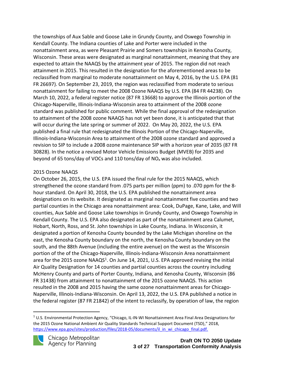the townships of Aux Sable and Goose Lake in Grundy County, and Oswego Township in Kendall County. The Indiana counties of Lake and Porter were included in the nonattainment area, as were Pleasant Prairie and Somers townships in Kenosha County, Wisconsin. These areas were designated as marginal nonattainment, meaning that they are expected to attain the NAAQS by the attainment year of 2015. The region did not reach attainment in 2015. This resulted in the designation for the aforementioned areas to be reclassified from marginal to moderate nonattainment on May 4, 2016, by the U.S. EPA (81 FR 26697). On September 23, 2019, the region was reclassified from moderate to serious nonattainment for failing to meet the 2008 Ozone NAAQS by U.S. EPA (84 FR 44238). On March 10, 2022, a federal register notice (87 FR 13668) to approve the Illinois portion of the Chicago-Naperville, Illinois-Indiana-Wisconsin area to attainment of the 2008 ozone standard was published for public comment. While the final approval of the redesignation to attainment of the 2008 ozone NAAQS has not yet been done, it is anticipated that that will occur during the late spring or summer of 2022. On May 20, 2022, the U.S. EPA published a final rule that redesignated the Illinois Portion of the Chicago-Naperville, Illinois-Indiana-Wisconsin Area to attainment of the 2008 ozone standard and approved a revision to SIP to include a 2008 ozone maintenance SIP with a horizon year of 2035 (87 FR 30828). In the notice a revised Motor Vehicle Emissions Budget (MVEB) for 2035 and beyond of 65 tons/day of VOCs and 110 tons/day of  $NO<sub>x</sub>$  was also included.

#### 2015 Ozone NAAQS

On October 26, 2015, the U.S. EPA issued the final rule for the 2015 NAAQS, which strengthened the ozone standard from .075 parts per million (ppm) to .070 ppm for the 8 hour standard. On April 30, 2018, the U.S. EPA published the nonattainment area designations on its website. It designated as marginal nonattainment five counties and two partial counties in the Chicago area nonattainment area: Cook, DuPage, Kane, Lake, and Will counties, Aux Sable and Goose Lake townships in Grundy County, and Oswego Township in Kendall County. The U.S. EPA also designated as part of the nonattainment area Calumet, Hobart, North, Ross, and St. John townships in Lake County, Indiana. In Wisconsin, it designated a portion of Kenosha County bounded by the Lake Michigan shoreline on the east, the Kenosha County boundary on the north, the Kenosha County boundary on the south, and the 88th Avenue (including the entire avenue) on the west as the Wisconsin portion of the of the Chicago-Naperville, Illinois-Indiana-Wisconsin Area nonattainment area for the 2015 ozone NAAQS<sup>1</sup>. On June 14, 2021, U.S. EPA approved revising the initial Air Quality Designation for 14 counties and partial counties across the country including McHenry County and parts of Porter County, Indiana, and Kenosha County, Wisconsin (86 FR 31438) from attainment to nonattainment of the 2015 ozone NAAQS. This action resulted in the 2008 and 2015 having the same ozone nonattainment areas for Chicago-Naperville, Illinois-Indiana-Wisconsin. On April 13, 2022, the U.S. EPA published a notice in the federal register (87 FR 21842) of the intent to reclassify, by operation of law, the region

 $1$  U.S. Environmental Protection Agency, "Chicago, IL-IN-WI Nonattainment Area Final Area Designations for the 2015 Ozone National Ambient Air Quality Standards Technical Support Document (TSD)," 2018, [https://www.epa.gov/sites/production/files/2018-05/documents/il\\_in\\_wi\\_chicago\\_final.pdf.](https://www.epa.gov/sites/production/files/2018-05/documents/il_in_wi_chicago_final.pdf)

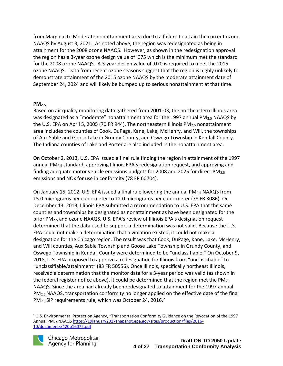from Marginal to Moderate nonattainment area due to a failure to attain the current ozone NAAQS by August 3, 2021. As noted above, the region was redesignated as being in attainment for the 2008 ozone NAAQS. However, as shown in the redesignation approval the region has a 3-year ozone design value of .075 which is the minimum met the standard for the 2008 ozone NAAQS. A 3-year design value of .070 is required to meet the 2015 ozone NAAQS. Data from recent ozone seasons suggest that the region is highly unlikely to demonstrate attainment of the 2015 ozone NAAQS by the moderate attainment date of September 24, 2024 and will likely be bumped up to serious nonattainment at that time.

#### **PM2.5**

Based on air quality monitoring data gathered from 2001-03, the northeastern Illinois area was designated as a "moderate" nonattainment area for the 1997 annual  $PM_{2.5}$  NAAQS by the U.S. EPA on April 5, 2005 (70 FR 944). The northeastern Illinois PM $_{2.5}$  nonattainment area includes the counties of Cook, DuPage, Kane, Lake, McHenry, and Will, the townships of Aux Sable and Goose Lake in Grundy County, and Oswego Township in Kendall County. The Indiana counties of Lake and Porter are also included in the nonattainment area.

On October 2, 2013, U.S. EPA issued a final rule finding the region in attainment of the 1997 annual PM<sub>2.5</sub> standard, approving Illinois EPA's redesignation request, and approving and finding adequate motor vehicle emissions budgets for 2008 and 2025 for direct  $PM_{2.5}$ emissions and NOx for use in conformity (78 FR 60704).

On January 15, 2012, U.S. EPA issued a final rule lowering the annual PM2.5 NAAQS from 15.0 micrograms per cubic meter to 12.0 micrograms per cubic meter (78 FR 3086). On December 13, 2013, Illinois EPA submitted a recommendation to U.S. EPA that the same counties and townships be designated as nonattainment as have been designated for the prior PM2.5 and ozone NAAQS. U.S. EPA's review of Illinois EPA's designation request determined that the data used to support a determination was not valid. Because the U.S. EPA could not make a determination that a violation existed, it could not make a designation for the Chicago region. The result was that Cook, DuPage, Kane, Lake, McHenry, and Will counties, Aux Sable Township and Goose Lake Township in Grundy County, and Oswego Township in Kendall County were determined to be "unclassifiable." On October 9, 2018, U.S. EPA proposed to approve a redesignation for Illinois from "unclassifiable" to "unclassifiable/attainment" (83 FR 50556). Once Illinois, specifically northeast Illinois, received a determination that the monitor data for a 3-year period was valid (as shown in the federal register notice above), it could be determined that the region met the  $PM_{2.5}$ NAAQS. Since the area had already been redesignated to attainment for the 1997 annual PM2.5 NAAQS, transportation conformity no longer applied on the effective date of the final  $PM_{2.5}$  SIP requirements rule, which was October 24, 2016.<sup>2</sup>

<sup>2</sup> U.S. Environmental Protection Agency, "Transportation Conformity Guidance on the Revocation of the 1997 Annual PM2.5 NAAQS [https://19january2017snapshot.epa.gov/sites/production/files/2016-](https://19january2017snapshot.epa.gov/sites/production/files/2016-10/documents/420b16072.pdf) [10/documents/420b16072.pdf](https://19january2017snapshot.epa.gov/sites/production/files/2016-10/documents/420b16072.pdf)

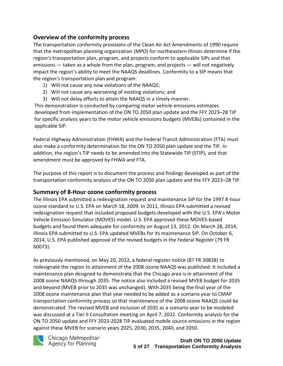### <span id="page-5-0"></span>**Overview of the conformity process**

The transportation conformity provisions of the Clean Air Act Amendments of 1990 require that the metropolitan planning organization (MPO) for northeastern Illinois determine if the region's transportation plan, program, and projects conform to applicable SIPs and that emissions — taken as a whole from the plan, program, and projects — will not negatively impact the region's ability to meet the NAAQS deadlines. Conformity to a SIP means that the region's transportation plan and program:

- 1) Will not cause any new violations of the NAAQS;
- 2) Will not cause any worsening of existing violations; and
- 3) Will not delay efforts to attain the NAAQS in a timely manner.

This demonstration is conducted by comparing motor vehicle emissions estimates developed from implementation of the ON TO 2050 plan update and the FFY 2023–28 TIP for specific analysis years to the motor vehicle emissions budgets (MVEBs) contained in the applicable SIP.

Federal Highway Administration (FHWA) and the Federal Transit Administration (FTA) must also make a conformity determination for the ON TO 2050 plan update and the TIP. In addition, the region's TIP needs to be amended into the Statewide TIP (STIP), and that amendment must be approved by FHWA and FTA.

The purpose of this report is to document the process and findings developed as part of the transportation conformity analysis of the ON TO 2050 plan update and the FFY 2023–28 TIP.

#### <span id="page-5-1"></span>**Summary of 8-Hour ozone conformity process**

The Illinois EPA submitted a redesignation request and maintenance SIP for the 1997 8-hour ozone standard to U.S. EPA on March 18, 2009. In 2011, Illinois EPA submitted a revised redesignation request that included proposed budgets developed with the U.S. EPA's Motor Vehicle Emission Simulator (MOVES) model. U.S. EPA approved these MOVES-based budgets and found them adequate for conformity on August 13, 2012. On March 28, 2014, Illinois EPA submitted to U.S. EPA updated MVEBs for its maintenance SIP. On October 6, 2014, U.S. EPA published approval of the revised budgets in the Federal Register (79 FR 60073).

As previously mentioned, on May 20, 2022, a federal register notice (87 FR 30828) to redesignate the region to attainment of the 2008 ozone NAAQS was published. It included a maintenance plan designed to demonstrate that the Chicago area is in attainment of the 2008 ozone NAAQS through 2035. The notice also included a revised MVEB budget for 2035 and beyond (MVEB prior to 2035 was unchanged). With 2035 being the final year of the 2008 ozone maintenance plan that year needed to be added as a scenario year to CMAP transportation conformity process so that maintenance of the 2008 ozone NAAQS could be demonstrated. The revised MVEB and inclusion of 2035 as a scenario year to be modeled was discussed at a Tier II Consultation meeting on April 7, 2022. Conformity analysis for the ON TO 2050 update and FFY 2023-2028 TIP evaluated mobile source emissions in the region against these MVEB for scenario years 2025, 2030, 2035, 2040, and 2050.



Chicago Metropolitan Agency for Planning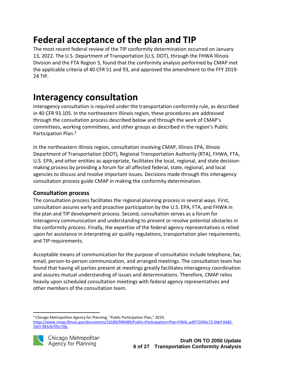# <span id="page-6-0"></span>**Federal acceptance of the plan and TIP**

The most recent federal review of the TIP conformity determination occurred on January 13, 2022. The U.S. Department of Transportation (U.S. DOT), through the FHWA Illinois Division and the FTA Region 5, found that the conformity analysis performed by CMAP met the applicable criteria of 40 CFR 51 and 93, and approved the amendment to the FFY 2019- 24 TIP.

## <span id="page-6-1"></span>**Interagency consultation**

Interagency consultation is required under the transportation conformity rule, as described in 40 CFR 93.105. In the northeastern Illinois region, these procedures are addressed through the consultation process described below and through the work of CMAP's committees, working committees, and other groups as described in the region's Public Participation Plan.<sup>3</sup>

In the northeastern Illinois region, consultation involving CMAP, Illinois EPA, Illinois Department of Transportation (IDOT), Regional Transportation Authority (RTA), FHWA, FTA, U.S. EPA, and other entities as appropriate, facilitates the local, regional, and state decisionmaking process by providing a forum for all affected federal, state, regional, and local agencies to discuss and resolve important issues. Decisions made through this interagency consultation process guide CMAP in making the conformity determination.

#### <span id="page-6-2"></span>**Consultation process**

The consultation process facilitates the regional planning process in several ways. First, consultation assures early and proactive participation by the U.S. EPA, FTA, and FHWA in the plan and TIP development process. Second, consultation serves as a forum for interagency communication and understanding to prevent or resolve potential obstacles in the conformity process. Finally, the expertise of the federal agency representatives is relied upon for assistance in interpreting air quality regulations, transportation plan requirements, and TIP requirements.

Acceptable means of communication for the purpose of consultation include telephone, fax, email, person-to-person communication, and arranged meetings. The consultation team has found that having all parties present at meetings greatly facilitates interagency coordination and assures mutual understanding of issues and determinations. Therefore, CMAP relies heavily upon scheduled consultation meetings with federal agency representatives and other members of the consultation team.

<sup>&</sup>lt;sup>3</sup> Chicago Metropolitan Agency for Planning, "Public Participation Plan," 2019, [https://www.cmap.illinois.gov/documents/10180/996489/Public+Participation+Plan+FINAL.pdf/7204bc72-0def-6682-](https://www.cmap.illinois.gov/documents/10180/996489/Public+Participation+Plan+FINAL.pdf/7204bc72-0def-6682-2bf3-9832b705c70b) [2bf3-9832b705c70b.](https://www.cmap.illinois.gov/documents/10180/996489/Public+Participation+Plan+FINAL.pdf/7204bc72-0def-6682-2bf3-9832b705c70b) 

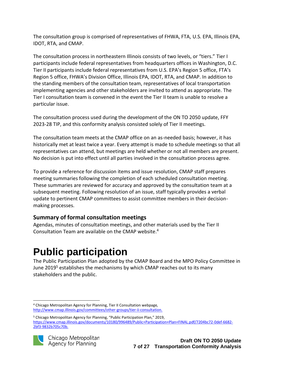The consultation group is comprised of representatives of FHWA, FTA, U.S. EPA, Illinois EPA, IDOT, RTA, and CMAP.

The consultation process in northeastern Illinois consists of two levels, or "tiers." Tier I participants include federal representatives from headquarters offices in Washington, D.C. Tier II participants include federal representatives from U.S. EPA's Region 5 office, FTA's Region 5 office, FHWA's Division Office, Illinois EPA, IDOT, RTA, and CMAP. In addition to the standing members of the consultation team, representatives of local transportation implementing agencies and other stakeholders are invited to attend as appropriate. The Tier I consultation team is convened in the event the Tier II team is unable to resolve a particular issue.

The consultation process used during the development of the ON TO 2050 update, FFY 2023-28 TIP, and this conformity analysis consisted solely of Tier II meetings.

The consultation team meets at the CMAP office on an as-needed basis; however, it has historically met at least twice a year. Every attempt is made to schedule meetings so that all representatives can attend, but meetings are held whether or not all members are present. No decision is put into effect until all parties involved in the consultation process agree.

To provide a reference for discussion items and issue resolution, CMAP staff prepares meeting summaries following the completion of each scheduled consultation meeting. These summaries are reviewed for accuracy and approved by the consultation team at a subsequent meeting. Following resolution of an issue, staff typically provides a verbal update to pertinent CMAP committees to assist committee members in their decisionmaking processes.

### <span id="page-7-0"></span>**Summary of formal consultation meetings**

Agendas, minutes of consultation meetings, and other materials used by the Tier II Consultation Team are available on the CMAP website. 4

# <span id="page-7-1"></span>**Public participation**

The Public Participation Plan adopted by the CMAP Board and the MPO Policy Committee in June 2019<sup>5</sup> establishes the mechanisms by which CMAP reaches out to its many stakeholders and the public.

<sup>5</sup> Chicago Metropolitan Agency for Planning, "Public Participation Plan," 2019, [https://www.cmap.illinois.gov/documents/10180/996489/Public+Participation+Plan+FINAL.pdf/7204bc72-0def-6682-](https://www.cmap.illinois.gov/documents/10180/996489/Public+Participation+Plan+FINAL.pdf/7204bc72-0def-6682-2bf3-9832b705c70b) [2bf3-9832b705c70b.](https://www.cmap.illinois.gov/documents/10180/996489/Public+Participation+Plan+FINAL.pdf/7204bc72-0def-6682-2bf3-9832b705c70b) 



<sup>4</sup> Chicago Metropolitan Agency for Planning, Tier II Consultation webpage*,*  [http://www.cmap.illinois.gov/committees/other-groups/tier-ii-consultation.](http://www.cmap.illinois.gov/committees/other-groups/tier-ii-consultation)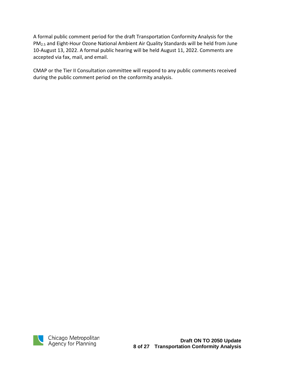A formal public comment period for the draft Transportation Conformity Analysis for the PM2.5 and Eight-Hour Ozone National Ambient Air Quality Standards will be held from June 10-August 13, 2022. A formal public hearing will be held August 11, 2022. Comments are accepted via fax, mail, and email.

CMAP or the Tier II Consultation committee will respond to any public comments received during the public comment period on the conformity analysis.

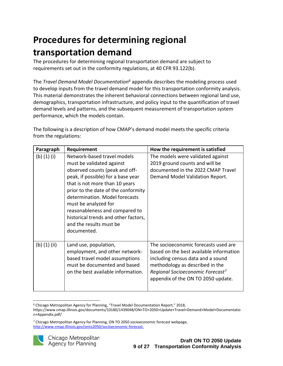# <span id="page-9-0"></span>**Procedures for determining regional transportation demand**

The procedures for determining regional transportation demand are subject to requirements set out in the conformity regulations, at 40 CFR 93.122(b).

The *Travel Demand Model Documentation*<sup>6</sup> appendix describes the modeling process used to develop inputs from the travel demand model for this transportation conformity analysis. This material demonstrates the inherent behavioral connections between regional land use, demographics, transportation infrastructure, and policy input to the quantification of travel demand levels and patterns, and the subsequent measurement of transportation system performance, which the models contain.

The following is a description of how CMAP's demand model meets the specific criteria from the regulations:

| Paragraph      | Requirement                                                                                                                                                                                                                                                                                                                                                                             | How the requirement is satisfied                                                                                                                                                                                                              |
|----------------|-----------------------------------------------------------------------------------------------------------------------------------------------------------------------------------------------------------------------------------------------------------------------------------------------------------------------------------------------------------------------------------------|-----------------------------------------------------------------------------------------------------------------------------------------------------------------------------------------------------------------------------------------------|
| (b) $(1)$ (i)  | Network-based travel models<br>must be validated against<br>observed counts (peak and off-<br>peak, if possible) for a base year<br>that is not more than 10 years<br>prior to the date of the conformity<br>determination. Model forecasts<br>must be analyzed for<br>reasonableness and compared to<br>historical trends and other factors,<br>and the results must be<br>documented. | The models were validated against<br>2019 ground counts and will be<br>documented in the 2022 CMAP Travel<br>Demand Model Validation Report.                                                                                                  |
| (b) $(1)$ (ii) | Land use, population,<br>employment, and other network-<br>based travel model assumptions<br>must be documented and based<br>on the best available information.                                                                                                                                                                                                                         | The socioeconomic forecasts used are<br>based on the best available information<br>including census data and a sound<br>methodology as described in the<br>Regional Socioeconomic Forecast <sup>7</sup><br>appendix of the ON TO 2050 update. |

<sup>6</sup> Chicago Metropolitan Agency for Planning, "Travel Model Documentation Report," 2018,

<sup>7</sup> Chicago Metropolitan Agency for Planning, ON TO 2050 socioeconomic forecast webpage, [http://www.cmap.illinois.gov/onto2050/socioeconomic-forecast.](http://www.cmap.illinois.gov/onto2050/socioeconomic-forecast)



https://www.cmap.illinois.gov/documents/10180/1439048/ON+TO+2050+Update+Travel+Demand+Model+Documentatio n+Appendix.pdf/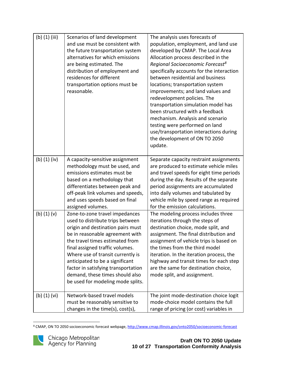| $(b)$ $(1)$ $(iii)$ | Scenarios of land development<br>and use must be consistent with<br>the future transportation system<br>alternatives for which emissions<br>are being estimated. The<br>distribution of employment and<br>residences for different<br>transportation options must be<br>reasonable.                                                                                                                     | The analysis uses forecasts of<br>population, employment, and land use<br>developed by CMAP. The Local Area<br>Allocation process described in the<br>Regional Socioeconomic Forecast <sup>8</sup><br>specifically accounts for the interaction<br>between residential and business<br>locations; transportation system<br>improvements; and land values and<br>redevelopment policies. The<br>transportation simulation model has<br>been structured with a feedback<br>mechanism. Analysis and scenario<br>testing were performed on land<br>use/transportation interactions during<br>the development of ON TO 2050<br>update. |
|---------------------|---------------------------------------------------------------------------------------------------------------------------------------------------------------------------------------------------------------------------------------------------------------------------------------------------------------------------------------------------------------------------------------------------------|-----------------------------------------------------------------------------------------------------------------------------------------------------------------------------------------------------------------------------------------------------------------------------------------------------------------------------------------------------------------------------------------------------------------------------------------------------------------------------------------------------------------------------------------------------------------------------------------------------------------------------------|
| (b) $(1)$ (iv)      | A capacity-sensitive assignment<br>methodology must be used, and<br>emissions estimates must be<br>based on a methodology that<br>differentiates between peak and<br>off-peak link volumes and speeds,<br>and uses speeds based on final<br>assigned volumes.                                                                                                                                           | Separate capacity restraint assignments<br>are produced to estimate vehicle miles<br>and travel speeds for eight time periods<br>during the day. Results of the separate<br>period assignments are accumulated<br>into daily volumes and tabulated by<br>vehicle mile by speed range as required<br>for the emission calculations.                                                                                                                                                                                                                                                                                                |
| $(b)$ $(1)$ $(v)$   | Zone-to-zone travel impedances<br>used to distribute trips between<br>origin and destination pairs must<br>be in reasonable agreement with<br>the travel times estimated from<br>final assigned traffic volumes.<br>Where use of transit currently is<br>anticipated to be a significant<br>factor in satisfying transportation<br>demand, these times should also<br>be used for modeling mode splits. | The modeling process includes three<br>iterations through the steps of<br>destination choice, mode split, and<br>assignment. The final distribution and<br>assignment of vehicle trips is based on<br>the times from the third model<br>iteration. In the iteration process, the<br>highway and transit times for each step<br>are the same for destination choice,<br>mode split, and assignment.                                                                                                                                                                                                                                |
| (b) (1) (vi)        | Network-based travel models<br>must be reasonably sensitive to<br>changes in the time(s), cost(s),                                                                                                                                                                                                                                                                                                      | The joint mode-destination choice logit<br>mode-choice model contains the full<br>range of pricing (or cost) variables in                                                                                                                                                                                                                                                                                                                                                                                                                                                                                                         |

<sup>8</sup> CMAP, ON TO 2050 socioeconomic forecast webpage, <http://www.cmap.illinois.gov/onto2050/socioeconomic-forecast>

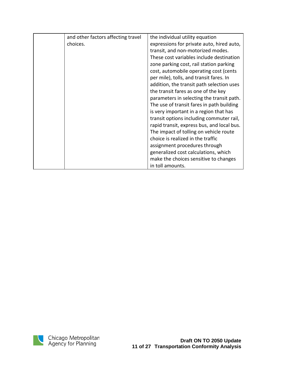| and other factors affecting travel | the individual utility equation            |
|------------------------------------|--------------------------------------------|
| choices.                           | expressions for private auto, hired auto,  |
|                                    | transit, and non-motorized modes.          |
|                                    | These cost variables include destination   |
|                                    | zone parking cost, rail station parking    |
|                                    | cost, automobile operating cost (cents     |
|                                    | per mile), tolls, and transit fares. In    |
|                                    | addition, the transit path selection uses  |
|                                    | the transit fares as one of the key        |
|                                    | parameters in selecting the transit path.  |
|                                    | The use of transit fares in path building  |
|                                    | is very important in a region that has     |
|                                    | transit options including commuter rail,   |
|                                    | rapid transit, express bus, and local bus. |
|                                    | The impact of tolling on vehicle route     |
|                                    | choice is realized in the traffic          |
|                                    | assignment procedures through              |
|                                    | generalized cost calculations, which       |
|                                    | make the choices sensitive to changes      |
|                                    | in toll amounts.                           |

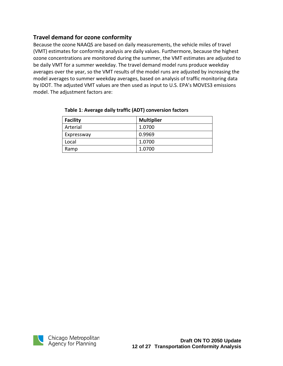### <span id="page-12-0"></span>**Travel demand for ozone conformity**

Because the ozone NAAQS are based on daily measurements, the vehicle miles of travel (VMT) estimates for conformity analysis are daily values. Furthermore, because the highest ozone concentrations are monitored during the summer, the VMT estimates are adjusted to be daily VMT for a summer weekday. The travel demand model runs produce weekday averages over the year, so the VMT results of the model runs are adjusted by increasing the model averages to summer weekday averages, based on analysis of traffic monitoring data by IDOT. The adjusted VMT values are then used as input to U.S. EPA's MOVES3 emissions model. The adjustment factors are:

| <b>Facility</b> | <b>Multiplier</b> |
|-----------------|-------------------|
| Arterial        | 1.0700            |
| Expressway      | 0.9969            |
| Local           | 1.0700            |
| Ramp            | 1.0700            |

#### <span id="page-12-1"></span>**Table 1**: **Average daily traffic (ADT) conversion factors**

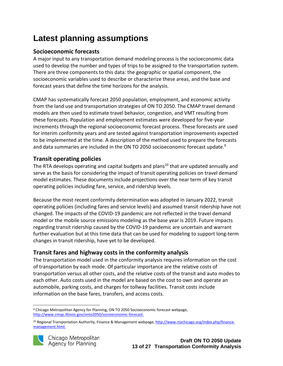# <span id="page-13-0"></span>**Latest planning assumptions**

### <span id="page-13-1"></span>**Socioeconomic forecasts**

A major input to any transportation demand modeling process is the socioeconomic data used to develop the number and types of trips to be assigned to the transportation system. There are three components to this data: the geographic or spatial component, the socioeconomic variables used to describe or characterize these areas, and the base and forecast years that define the time horizons for the analysis.

CMAP has systematically forecast 2050 population, employment, and economic activity from the land use and transportation strategies of ON TO 2050. The CMAP travel demand models are then used to estimate travel behavior, congestion, and VMT resulting from these forecasts. Population and employment estimates were developed for five-year increments through the regional socioeconomic forecast process. These forecasts are used for interim conformity years and are tested against transportation improvements expected to be implemented at the time. A description of the method used to prepare the forecasts and data summaries are included in the ON TO 2050 socioeconomic forecast update.<sup>9</sup>

### <span id="page-13-2"></span>**Transit operating policies**

The RTA develops operating and capital budgets and plans<sup>10</sup> that are updated annually and serve as the basis for considering the impact of transit operating policies on travel demand model estimates. These documents include projections over the near term of key transit operating policies including fare, service, and ridership levels.

Because the most recent conformity determination was adopted in January 2022, transit operating policies (including fares and service levels) and assumed transit ridership have not changed. The impacts of the COVID-19 pandemic are not reflected in the travel demand model or the mobile source emissions modeling as the base year is 2019. Future impacts regarding transit ridership caused by the COVID-19 pandemic are uncertain and warrant further evaluation but at this time data that can be used for modeling to support long-term changes in transit ridership, have yet to be developed.

### <span id="page-13-3"></span>**Transit fares and highway costs in the conformity analysis**

The transportation model used in the conformity analysis requires information on the cost of transportation by each mode. Of particular importance are the relative costs of transportation versus all other costs, and the relative costs of the transit and auto modes to each other. Auto costs used in the model are based on the cost to own and operate an automobile, parking costs, and charges for tollway facilities. Transit costs include information on the base fares, transfers, and access costs.

<sup>&</sup>lt;sup>10</sup> Regional Transportation Authority, Finance & Management webpage, [http://www.rtachicago.org/index.php/finance](http://www.rtachicago.org/index.php/finance-management.html)[management.html.](http://www.rtachicago.org/index.php/finance-management.html)



<sup>9</sup> Chicago Metropolitan Agency for Planning, ON TO 2050 Socioeconomic forecast webpage, [http://www.cmap.illinois.gov/onto2050/socioeconomic-forecast.](http://www.cmap.illinois.gov/onto2050/socioeconomic-forecast)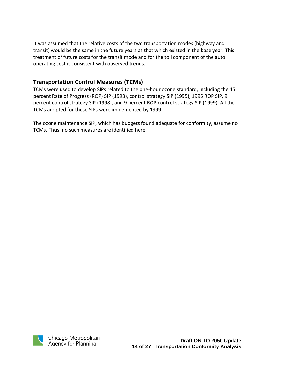It was assumed that the relative costs of the two transportation modes (highway and transit) would be the same in the future years as that which existed in the base year. This treatment of future costs for the transit mode and for the toll component of the auto operating cost is consistent with observed trends.

#### <span id="page-14-0"></span>**Transportation Control Measures (TCMs)**

TCMs were used to develop SIPs related to the one-hour ozone standard, including the 15 percent Rate of Progress (ROP) SIP (1993), control strategy SIP (1995), 1996 ROP SIP, 9 percent control strategy SIP (1998), and 9 percent ROP control strategy SIP (1999). All the TCMs adopted for these SIPs were implemented by 1999.

The ozone maintenance SIP, which has budgets found adequate for conformity, assume no TCMs. Thus, no such measures are identified here.

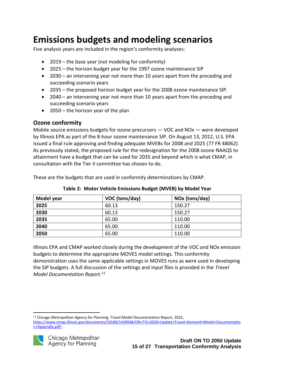# <span id="page-15-0"></span>**Emissions budgets and modeling scenarios**

Five analysis years are included in the region's conformity analyses:

- 2019 the base year (not modeling for conformity)
- 2025 the horizon budget year for the 1997 ozone maintenance SIP
- 2030 an intervening year not more than 10 years apart from the preceding and succeeding scenario years
- 2035 the proposed horizon budget year for the 2008 ozone maintenance SIP.
- 2040 an intervening year not more than 10 years apart from the preceding and succeeding scenario years
- 2050 the horizon year of the plan

### <span id="page-15-1"></span>**Ozone conformity**

Mobile source emissions budgets for ozone precursors — VOC and NOx — were developed by Illinois EPA as part of the 8-hour ozone maintenance SIP. On August 13, 2012, U.S. EPA issued a final rule approving and finding adequate MVEBs for 2008 and 2025 (77 FR 48062). As previously stated, the proposed rule for the redesignation for the 2008 ozone NAAQS to attainment have a budget that can be used for 2035 and beyond which is what CMAP, in consultation with the Tier II committee has chosen to do.

These are the budgets that are used in conformity determinations by CMAP.

| Model year | VOC (tons/day) | NOx (tons/day) |
|------------|----------------|----------------|
| 2025       | 60.13          | 150.27         |
| 2030       | 60.13          | 150.27         |
| 2035       | 65.00          | 110.00         |
| 2040       | 65.00          | 110.00         |
| 2050       | 65.00          | 110.00         |

**Table 2: Motor Vehicle Emissions Budget (MVEB) by Model Year**

Illinois EPA and CMAP worked closely during the development of the VOC and NOx emission budgets to determine the appropriate MOVES model settings. This conformity demonstration uses the same applicable settings in MOVES runs as were used in developing the SIP budgets. A full discussion of the settings and input files is provided in the *Travel Model Documentation Report*. 11

<span id="page-15-2"></span><sup>11</sup> Chicago Metropolitan Agency for Planning, Travel Model Documentation Report, 2022, [https://www.cmap.illinois.gov/documents/10180/1439048/ON+TO+2050+Update+Travel+Demand+Model+Documentatio](https://cmapil.sharepoint.com/sites/ONTO2050update/Shared%20Documents/General/02%20Reports%20and%20Deliverables/Appendix%20drafts/Travel%20Demand%20Model%20Documentation%20Appendix%20May%202022.docx) [n+Appendix.pdf/](https://cmapil.sharepoint.com/sites/ONTO2050update/Shared%20Documents/General/02%20Reports%20and%20Deliverables/Appendix%20drafts/Travel%20Demand%20Model%20Documentation%20Appendix%20May%202022.docx) .

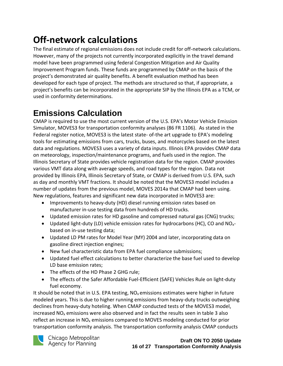# **Off-network calculations**

The final estimate of regional emissions does not include credit for off-network calculations. However, many of the projects not currently incorporated explicitly in the travel demand model have been programmed using federal Congestion Mitigation and Air Quality Improvement Program funds. These funds are programmed by CMAP on the basis of the project's demonstrated air quality benefits. A benefit evaluation method has been developed for each type of project. The methods are structured so that, if appropriate, a project's benefits can be incorporated in the appropriate SIP by the Illinois EPA as a TCM, or used in conformity determinations.

# **Emissions Calculation**

CMAP is required to use the most current version of the U.S. EPA's Motor Vehicle Emission Simulator, MOVES3 for transportation conformity analyses (86 FR 1106). As stated in the Federal register notice, MOVES3 is the latest state- of-the art upgrade to EPA's modeling tools for estimating emissions from cars, trucks, buses, and motorcycles based on the latest data and regulations. MOVES3 uses a variety of data inputs. Illinois EPA provides CMAP data on meteorology, inspection/maintenance programs, and fuels used in the region. The Illinois Secretary of State provides vehicle registration data for the region. CMAP provides various VMT data along with average speeds, and road types for the region. Data not provided by Illinois EPA, Illinois Secretary of State, or CMAP is derived from U.S. EPA, such as day and monthly VMT fractions. It should be noted that the MOVES3 model includes a number of updates from the previous model, MOVES 2014a that CMAP had been using. New regulations, features and significant new data incorporated in MOVES3 are:

- Improvements to heavy-duty (HD) diesel running emission rates based on manufacturer in-use testing data from hundreds of HD trucks.
- Updated emission rates for HD gasoline and compressed natural gas (CNG) trucks;
- Updated light-duty (LD) vehicle emission rates for hydrocarbons (HC), CO and  $NO_{x^-}$ based on in-use testing data;
- Updated LD PM rates for Model Year (MY) 2004 and later, incorporating data on gasoline direct injection engines;
- New fuel characteristic data from EPA fuel compliance submissions;
- Updated fuel effect calculations to better characterize the base fuel used to develop LD base emission rates;
- The effects of the HD Phase 2 GHG rule;
- The effects of the Safer Affordable Fuel-Efficient (SAFE) Vehicles Rule on light-duty fuel economy.

It should be noted that in U.S. EPA testing,  $NO_x$  emissions estimates were higher in future modeled years. This is due to higher running emissions from heavy-duty trucks outweighing declines from heavy-duty hoteling. When CMAP conducted tests of the MOVES3 model, increased  $NO<sub>x</sub>$  emissions were also observed and in fact the results seen in table 3 also reflect an increase in NO<sub>x</sub> emissions compared to MOVES modeling conducted for prior transportation conformity analysis. The transportation conformity analysis CMAP conducts

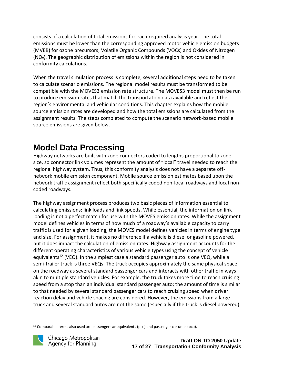consists of a calculation of total emissions for each required analysis year. The total emissions must be lower than the corresponding approved motor vehicle emission budgets (MVEB) for ozone precursors; Volatile Organic Compounds (VOCs) and Oxides of Nitrogen  $(NO<sub>x</sub>)$ . The geographic distribution of emissions within the region is not considered in conformity calculations.

When the travel simulation process is complete, several additional steps need to be taken to calculate scenario emissions. The regional model results must be transformed to be compatible with the MOVES3 emission rate structure. The MOVES3 model must then be run to produce emission rates that match the transportation data available and reflect the region's environmental and vehicular conditions. This chapter explains how the mobile source emission rates are developed and how the total emissions are calculated from the assignment results. The steps completed to compute the scenario network-based mobile source emissions are given below.

# **Model Data Processing**

Highway networks are built with zone connectors coded to lengths proportional to zone size, so connector link volumes represent the amount of "local" travel needed to reach the regional highway system. Thus, this conformity analysis does not have a separate offnetwork mobile emission component. Mobile source emission estimates based upon the network traffic assignment reflect both specifically coded non-local roadways and local noncoded roadways.

The highway assignment process produces two basic pieces of information essential to calculating emissions: link loads and link speeds. While essential, the information on link loading is not a perfect match for use with the MOVES emission rates. While the assignment model defines vehicles in terms of how much of a roadway's available capacity to carry traffic is used for a given loading, the MOVES model defines vehicles in terms of engine type and size. For assignment, it makes no difference if a vehicle is diesel or gasoline powered, but it does impact the calculation of emission rates. Highway assignment accounts for the different operating characteristics of various vehicle types using the concept of vehicle equivalents<sup>12</sup> (VEQ). In the simplest case a standard passenger auto is one VEQ, while a semi-trailer truck is three VEQs. The truck occupies approximately the same physical space on the roadway as several standard passenger cars and interacts with other traffic in ways akin to multiple standard vehicles. For example, the truck takes more time to reach cruising speed from a stop than an individual standard passenger auto; the amount of time is similar to that needed by several standard passenger cars to reach cruising speed when driver reaction delay and vehicle spacing are considered. However, the emissions from a large truck and several standard autos are not the same (especially if the truck is diesel powered).

 $12$  Comparable terms also used are passenger car equivalents (pce) and passenger car units (pcu).

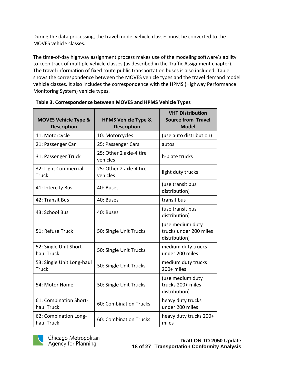During the data processing, the travel model vehicle classes must be converted to the MOVES vehicle classes.

The time-of-day highway assignment process makes use of the modeling software's ability to keep track of multiple vehicle classes (as described in the Traffic Assignment chapter). The travel information of fixed route public transportation buses is also included[. Table](#page-18-0)  shows the correspondence between the MOVES vehicle types and the travel demand model vehicle classes. It also includes the correspondence with the HPMS (Highway Performance Monitoring System) vehicle types.

| <b>MOVES Vehicle Type &amp;</b><br><b>Description</b> | <b>HPMS Vehicle Type &amp;</b><br><b>Description</b> | <b>VHT Distribution</b><br><b>Source from Travel</b><br><b>Model</b> |
|-------------------------------------------------------|------------------------------------------------------|----------------------------------------------------------------------|
| 11: Motorcycle                                        | 10: Motorcycles                                      | (use auto distribution)                                              |
| 21: Passenger Car                                     | 25: Passenger Cars                                   | autos                                                                |
| 31: Passenger Truck                                   | 25: Other 2 axle-4 tire<br>vehicles                  | b-plate trucks                                                       |
| 32: Light Commercial<br><b>Truck</b>                  | 25: Other 2 axle-4 tire<br>vehicles                  | light duty trucks                                                    |
| 41: Intercity Bus                                     | 40: Buses                                            | (use transit bus<br>distribution)                                    |
| 42: Transit Bus                                       | 40: Buses                                            | transit bus                                                          |
| 43: School Bus                                        | 40: Buses                                            | (use transit bus<br>distribution)                                    |
| 51: Refuse Truck                                      | 50: Single Unit Trucks                               | (use medium duty<br>trucks under 200 miles<br>distribution)          |
| 52: Single Unit Short-<br>haul Truck                  | 50: Single Unit Trucks                               | medium duty trucks<br>under 200 miles                                |
| 53: Single Unit Long-haul<br><b>Truck</b>             | 50: Single Unit Trucks                               | medium duty trucks<br>200+ miles                                     |
| 54: Motor Home                                        | 50: Single Unit Trucks                               | (use medium duty<br>trucks 200+ miles<br>distribution)               |
| 61: Combination Short-<br>haul Truck                  | 60: Combination Trucks                               | heavy duty trucks<br>under 200 miles                                 |
| 62: Combination Long-<br>haul Truck                   | 60: Combination Trucks                               | heavy duty trucks 200+<br>miles                                      |

<span id="page-18-0"></span>**Table 3. Correspondence between MOVES and HPMS Vehicle Types**

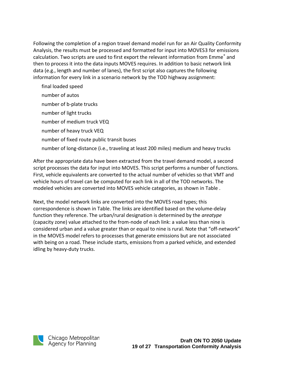Following the completion of a region travel demand model run for an Air Quality Conformity Analysis, the results must be processed and formatted for input into MOVES3 for emissions calculation. Two scripts are used to first export the relevant information from Emme<sup>®</sup> and then to process it into the data inputs MOVES requires. In addition to basic network link data (e.g., length and number of lanes), the first script also captures the following information for every link in a scenario network by the TOD highway assignment:

final loaded speed number of autos number of b-plate trucks number of light trucks number of medium truck VEQ number of heavy truck VEQ number of fixed route public transit buses number of long-distance (i.e., traveling at least 200 miles) medium and heavy trucks

After the appropriate data have been extracted from the travel demand model, a second script processes the data for input into MOVES. This script performs a number of functions. First, vehicle equivalents are converted to the actual number of vehicles so that VMT and vehicle hours of travel can be computed for each link in all of the TOD networks. The modeled vehicles are converted into MOVES vehicle categories, as shown in [Table .](#page-18-0)

Next, the model network links are converted into the MOVES road types; this correspondence is shown in [Table.](#page-20-0) The links are identified based on the volume-delay function they reference. The urban/rural designation is determined by the *areatype* (capacity zone) value attached to the from-node of each link: a value less than nine is considered urban and a value greater than or equal to nine is rural. Note that "off-network" in the MOVES model refers to processes that generate emissions but are not associated with being on a road. These include starts, emissions from a parked vehicle, and extended idling by heavy-duty trucks.

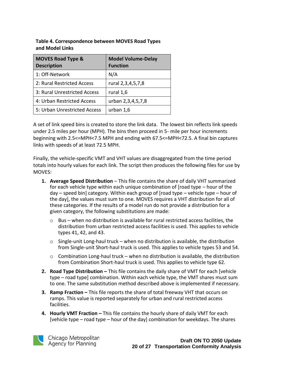| <b>MOVES Road Type &amp;</b><br><b>Description</b> | <b>Model Volume-Delay</b><br><b>Function</b> |
|----------------------------------------------------|----------------------------------------------|
| 1: Off-Network                                     | N/A                                          |
| 2: Rural Restricted Access                         | rural 2,3,4,5,7,8                            |
| 3: Rural Unrestricted Access                       | rural 1,6                                    |
| 4: Urban Restricted Access                         | urban 2,3,4,5,7,8                            |
| 5: Urban Unrestricted Access                       | urban 1,6                                    |

<span id="page-20-0"></span>**Table 4. Correspondence between MOVES Road Types and Model Links**

A set of link speed bins is created to store the link data. The lowest bin reflects link speeds under 2.5 miles per hour (MPH). The bins then proceed in 5- mile per hour increments beginning with 2.5<=MPH<7.5 MPH and ending with 67.5<=MPH<72.5. A final bin captures links with speeds of at least 72.5 MPH.

Finally, the vehicle-specific VMT and VHT values are disaggregated from the time period totals into hourly values for each link. The script then produces the following files for use by MOVES:

- **1. Average Speed Distribution** This file contains the share of daily VHT summarized for each vehicle type within each unique combination of [road type – hour of the day – speed bin] category. Within each group of [road type – vehicle type – hour of the day], the values must sum to one. MOVES requires a VHT distribution for all of these categories. If the results of a model run do not provide a distribution for a given category, the following substitutions are made:
	- $\circ$  Bus when no distribution is available for rural restricted access facilities, the distribution from urban restricted access facilities is used. This applies to vehicle types 41, 42, and 43.
	- $\circ$  Single-unit Long-haul truck when no distribution is available, the distribution from Single-unit Short-haul truck is used. This applies to vehicle types 53 and 54.
	- $\circ$  Combination Long-haul truck when no distribution is available, the distribution from Combination Short-haul truck is used. This applies to vehicle type 62.
- **2. Road Type Distribution** This file contains the daily share of VMT for each [vehicle] type – road type] combination. Within each vehicle type, the VMT shares must sum to one. The same substitution method described above is implemented if necessary.
- **3. Ramp Fraction –** This file reports the share of total freeway VHT that occurs on ramps. This value is reported separately for urban and rural restricted access facilities.
- **4. Hourly VMT Fraction –** This file contains the hourly share of daily VMT for each [vehicle type – road type – hour of the day] combination for weekdays. The shares



Chicago Metropolitan Agency for Planning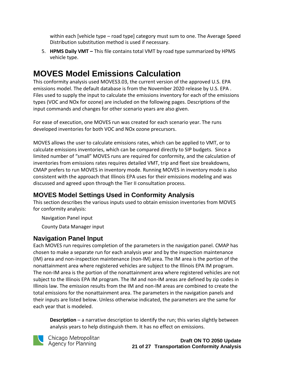within each [vehicle type – road type] category must sum to one. The Average Speed Distribution substitution method is used if necessary.

5. **HPMS Daily VMT –** This file contains total VMT by road type summarized by HPMS vehicle type.

# **MOVES Model Emissions Calculation**

This conformity analysis used MOVES3.03, the current version of the approved U.S. EPA emissions model. The default database is from the November 2020 release by U.S. EPA . Files used to supply the input to calculate the emissions inventory for each of the emissions types (VOC and NOx for ozone) are included on the following pages. Descriptions of the input commands and changes for other scenario years are also given.

For ease of execution, one MOVES run was created for each scenario year. The runs developed inventories for both VOC and NOx ozone precursors.

MOVES allows the user to calculate emissions rates, which can be applied to VMT, or to calculate emissions inventories, which can be compared directly to SIP budgets. Since a limited number of "small" MOVES runs are required for conformity, and the calculation of inventories from emissions rates requires detailed VMT, trip and fleet size breakdowns, CMAP prefers to run MOVES in inventory mode. Running MOVES in inventory mode is also consistent with the approach that Illinois EPA uses for their emissions modeling and was discussed and agreed upon through the Tier II consultation process.

## **MOVES Model Settings Used in Conformity Analysis**

This section describes the various inputs used to obtain emission inventories from MOVES for conformity analysis:

Navigation Panel input

County Data Manager input

## **Navigation Panel Input**

Each MOVES run requires completion of the parameters in the navigation panel. CMAP has chosen to make a separate run for each analysis year and by the inspection maintenance (IM) area and non-inspection maintenance (non-IM) area. The IM area is the portion of the nonattainment area where registered vehicles are subject to the Illinois EPA IM program. The non-IM area is the portion of the nonattainment area where registered vehicles are not subject to the Illinois EPA IM program. The IM and non-IM areas are defined by zip codes in Illinois law. The emission results from the IM and non-IM areas are combined to create the total emissions for the nonattainment area. The parameters in the navigation panels and their inputs are listed below. Unless otherwise indicated, the parameters are the same for each year that is modeled.

**Description** – a narrative description to identify the run; this varies slightly between analysis years to help distinguish them. It has no effect on emissions.



Chicago Metropolitan Agency for Planning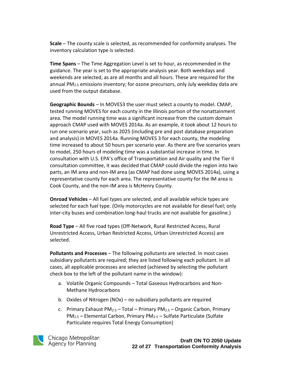**Scale** – The county scale is selected, as recommended for conformity analyses. The inventory calculation type is selected.

**Time Spans** – The Time Aggregation Level is set to hour, as recommended in the guidance. The year is set to the appropriate analysis year. Both weekdays and weekends are selected, as are all months and all hours. These are required for the annual PM<sub>2.5</sub> emissions inventory; for ozone precursors, only July weekday data are used from the output database.

**Geographic Bounds** – In MOVES3 the user must select a county to model. CMAP, tested running MOVES for each county in the Illinois portion of the nonattainment area. The model running time was a significant increase from the custom domain approach CMAP used with MOVES 2014a. As an example, it took about 12 hours to run one scenario year, such as 2025 (including pre and post database preparation and analysis) in MOVES 2014a. Running MOVES 3 for each county, the modeling time increased to about 50 hours per scenario year. As there are five scenarios years to model, 250 hours of modeling time was a substantial increase in time. In consultation with U.S. EPA's office of Transportation and Air quality and the Tier II consultation committee, it was decided that CMAP could divide the region into two parts, an IM area and non-IM area (as CMAP had done using MOVES 2014a), using a representative county for each area. The representative county for the IM area is Cook County, and the non-IM area is McHenry County.

**Onroad Vehicles** – All fuel types are selected, and all available vehicle types are selected for each fuel type. (Only motorcycles are not available for diesel fuel; only inter-city buses and combination long-haul trucks are not available for gasoline.)

**Road Type** – All five road types (Off-Network, Rural Restricted Access, Rural Unrestricted Access, Urban Restricted Access, Urban Unrestricted Access) are selected.

**Pollutants and Processes** – The following pollutants are selected. In most cases subsidiary pollutants are required; they are listed following each pollutant. In all cases, all applicable processes are selected (achieved by selecting the pollutant check box to the left of the pollutant name in the window):

- a. Volatile Organic Compounds Total Gaseous Hydrocarbons and Non-Methane Hydrocarbons
- b. Oxides of Nitrogen (NOx) no subsidiary pollutants are required
- c. Primary Exhaust PM<sub>2.5</sub> Total Primary PM<sub>2.5</sub> Organic Carbon, Primary  $PM_{2.5}$  – Elemental Carbon, Primary PM<sub>2.5</sub> – Sulfate Particulate (Sulfate Particulate requires Total Energy Consumption)

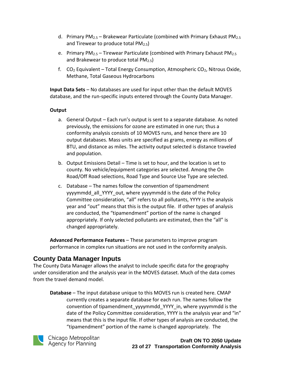- d. Primary PM<sub>2.5</sub> Brakewear Particulate (combined with Primary Exhaust PM<sub>2.5</sub> and Tirewear to produce total  $PM_{2.5}$ )
- e. Primary PM<sub>2.5</sub> Tirewear Particulate (combined with Primary Exhaust PM<sub>2.5</sub> and Brakewear to produce total PM2.5)
- f.  $CO<sub>2</sub>$  Equivalent Total Energy Consumption, Atmospheric  $CO<sub>2</sub>$ , Nitrous Oxide, Methane, Total Gaseous Hydrocarbons

**Input Data Sets** – No databases are used for input other than the default MOVES database, and the run-specific inputs entered through the County Data Manager.

#### **Output**

- a. General Output Each run's output is sent to a separate database. As noted previously, the emissions for ozone are estimated in one run; thus a conformity analysis consists of 10 MOVES runs, and hence there are 10 output databases. Mass units are specified as grams, energy as millions of BTU, and distance as miles. The activity output selected is distance traveled and population.
- b. Output Emissions Detail Time is set to hour, and the location is set to county. No vehicle/equipment categories are selected. Among the On Road/Off Road selections, Road Type and Source Use Type are selected.
- c. Database The names follow the convention of tipamendment yyyymmdd all YYYY out, where yyyymmdd is the date of the Policy Committee consideration, "all" refers to all pollutants, YYYY is the analysis year and "out" means that this is the output file. If other types of analysis are conducted, the "tipamendment" portion of the name is changed appropriately. If only selected pollutants are estimated, then the "all" is changed appropriately.

**Advanced Performance Features** – These parameters to improve program performance in complex run situations are not used in the conformity analysis.

### **County Data Manager Inputs**

The County Data Manager allows the analyst to include specific data for the geography under consideration and the analysis year in the MOVES dataset. Much of the data comes from the travel demand model.

**Database** – The input database unique to this MOVES run is created here. CMAP currently creates a separate database for each run. The names follow the convention of tipamendment yyyymmdd YYYY in, where yyyymmdd is the date of the Policy Committee consideration, YYYY is the analysis year and "in" means that this is the input file. If other types of analysis are conducted, the "tipamendment" portion of the name is changed appropriately. The



Chicago Metropolitan Agency for Planning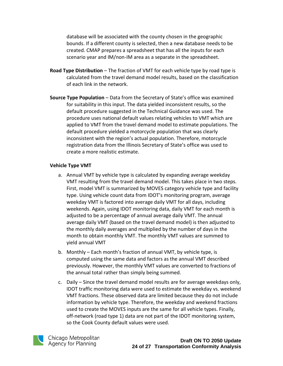database will be associated with the county chosen in the geographic bounds. If a different county is selected, then a new database needs to be created. CMAP prepares a spreadsheet that has all the inputs for each scenario year and IM/non-IM area as a separate in the spreadsheet.

- **Road Type Distribution** The fraction of VMT for each vehicle type by road type is calculated from the travel demand model results, based on the classification of each link in the network.
- **Source Type Population** Data from the Secretary of State's office was examined for suitability in this input. The data yielded inconsistent results, so the default procedure suggested in the Technical Guidance was used. The procedure uses national default values relating vehicles to VMT which are applied to VMT from the travel demand model to estimate populations. The default procedure yielded a motorcycle population that was clearly inconsistent with the region's actual population. Therefore, motorcycle registration data from the Illinois Secretary of State's office was used to create a more realistic estimate.

#### **Vehicle Type VMT**

- a. Annual VMT by vehicle type is calculated by expanding average weekday VMT resulting from the travel demand model. This takes place in two steps. First, model VMT is summarized by MOVES category vehicle type and facility type. Using vehicle count data from IDOT's monitoring program, average weekday VMT is factored into average daily VMT for all days, including weekends. Again, using IDOT monitoring data, daily VMT for each month is adjusted to be a percentage of annual average daily VMT. The annual average daily VMT (based on the travel demand model) is then adjusted to the monthly daily averages and multiplied by the number of days in the month to obtain monthly VMT. The monthly VMT values are summed to yield annual VMT
- b. Monthly Each month's fraction of annual VMT, by vehicle type, is computed using the same data and factors as the annual VMT described previously. However, the monthly VMT values are converted to fractions of the annual total rather than simply being summed.
- c. Daily Since the travel demand model results are for average weekdays only, IDOT traffic monitoring data were used to estimate the weekday vs. weekend VMT fractions. These observed data are limited because they do not include information by vehicle type. Therefore, the weekday and weekend fractions used to create the MOVES inputs are the same for all vehicle types. Finally, off-network (road type 1) data are not part of the IDOT monitoring system, so the Cook County default values were used.

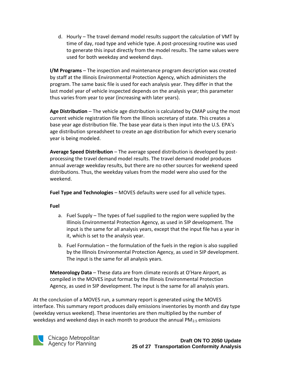d. Hourly – The travel demand model results support the calculation of VMT by time of day, road type and vehicle type. A post-processing routine was used to generate this input directly from the model results. The same values were used for both weekday and weekend days.

**I/M Programs** – The inspection and maintenance program description was created by staff at the Illinois Environmental Protection Agency, which administers the program. The same basic file is used for each analysis year. They differ in that the last model year of vehicle inspected depends on the analysis year; this parameter thus varies from year to year (increasing with later years).

**Age Distribution** – The vehicle age distribution is calculated by CMAP using the most current vehicle registration file from the Illinois secretary of state. This creates a base year age distribution file. The base year data is then input into the U.S. EPA's age distribution spreadsheet to create an age distribution for which every scenario year is being modeled.

**Average Speed Distribution** – The average speed distribution is developed by postprocessing the travel demand model results. The travel demand model produces annual average weekday results, but there are no other sources for weekend speed distributions. Thus, the weekday values from the model were also used for the weekend.

**Fuel Type and Technologies** – MOVES defaults were used for all vehicle types.

#### **Fuel**

- a. Fuel Supply The types of fuel supplied to the region were supplied by the Illinois Environmental Protection Agency, as used in SIP development. The input is the same for all analysis years, except that the input file has a year in it, which is set to the analysis year.
- b. Fuel Formulation the formulation of the fuels in the region is also supplied by the Illinois Environmental Protection Agency, as used in SIP development. The input is the same for all analysis years.

**Meteorology Data** – These data are from climate records at O'Hare Airport, as compiled in the MOVES input format by the Illinois Environmental Protection Agency, as used in SIP development. The input is the same for all analysis years.

At the conclusion of a MOVES run, a summary report is generated using the MOVES interface. This summary report produces daily emissions inventories by month and day type (weekday versus weekend). These inventories are then multiplied by the number of weekdays and weekend days in each month to produce the annual  $PM_{2.5}$  emissions

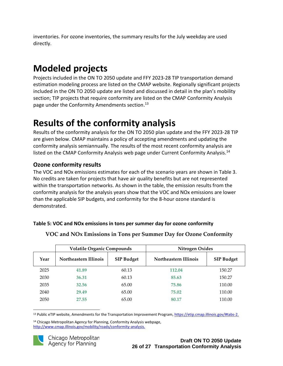inventories. For ozone inventories, the summary results for the July weekday are used directly.

# <span id="page-26-0"></span>**Modeled projects**

Projects included in the ON TO 2050 update and FFY 2023-28 TIP transportation demand estimation modeling process are listed on the CMAP website. Regionally significant projects included in the ON TO 2050 update are listed and discussed in detail in the plan's mobility section; TIP projects that require conformity are listed on the CMAP Conformity Analysis page under the Conformity Amendments section. 13

# <span id="page-26-1"></span>**Results of the conformity analysis**

Results of the conformity analysis for the ON TO 2050 plan update and the FFY 2023-28 TIP are given below. CMAP maintains a policy of accepting amendments and updating the conformity analysis semiannually. The results of the most recent conformity analysis are listed on the CMAP Conformity Analysis web page under Current Conformity Analysis.<sup>14</sup>

## <span id="page-26-2"></span>**Ozone conformity results**

The VOC and NOx emissions estimates for each of the scenario years are shown in Table 3. No credits are taken for projects that have air quality benefits but are not represented within the transportation networks. As shown in the table, the emission results from the conformity analysis for the analysis years show that the VOC and NOx emissions are lower than the applicable SIP budgets, and conformity for the 8-hour ozone standard is demonstrated.

#### <span id="page-26-3"></span>**Table 5: VOC and NOx emissions in tons per summer day for ozone conformity**

|      | <b>Volatile Organic Compounds</b> |                   | Nitrogen Oxides       |                   |
|------|-----------------------------------|-------------------|-----------------------|-------------------|
| Year | Northeastern Illinois             | <b>SIP Budget</b> | Northeastern Illinois | <b>SIP Budget</b> |
| 2025 | 41.89                             | 60.13             | 112.04                | 150.27            |
| 2030 | 36.31                             | 60.13             | 85.63                 | 150.27            |
| 2035 | 32.56                             | 65.00             | 75.86                 | 110.00            |
| 2040 | 29.49                             | 65.00             | 75.02                 | 110.00            |
| 2050 | 27.55                             | 65.00             | 80.17                 | 110.00            |

### **VOC and NOx Emissions in Tons per Summer Day for Ozone Conformity**

<sup>13</sup> Public eTIP website, Amendments for the Transportation Improvement Program, [https://etip.cmap.illinois.gov/#tabs-2.](https://etip.cmap.illinois.gov/#tabs-2)

<sup>14</sup> Chicago Metropolitan Agency for Planning, Conformity Analysis webpage, [http://www.cmap.illinois.gov/mobility/roads/conformity-analysis.](http://www.cmap.illinois.gov/mobility/roads/conformity-analysis)